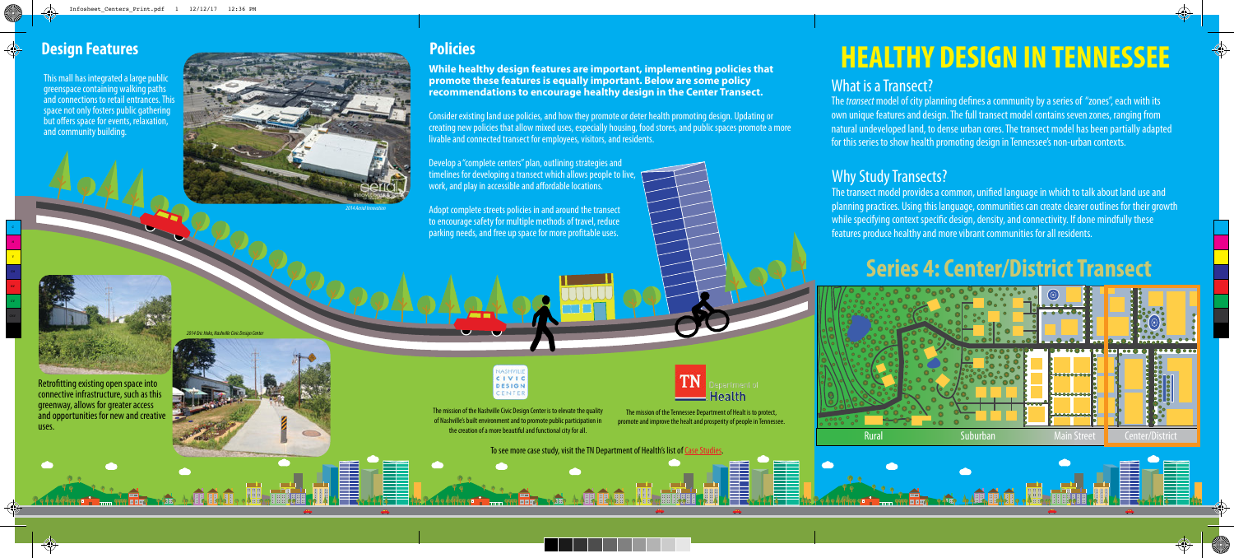The mission of the Nashville Civic Design Center is to elevate the quality of Nashville's built environment and to promote public participation in the creation of a more beautiful and functional city for all.

The mission of the Tennessee Department of Healt is to protect, promote and improve the healt and prosperity of people in Tennessee.

Retrofitting existing open space into connective infrastructure, such as this greenway, allows for greater access and opportunities for new and creative uses.

This mall has integrated a large public greenspace containing walking paths and connections to retail entrances. This space not only fosters public gathering but offers space for events, relaxation, and community building.

To see more case study, visit the TN Department of Health's list of Case Studies.



Develop a "complete centers" plan, outlining strategies and timelines for developing a transect which allows people to live, work, and play in accessible and affordable locations.

Adopt complete streets policies in and around the transect to encourage safety for multiple methods of travel, reduce parking needs, and free up space for more profitable uses.



CIVIC **DESIGN** CENTER

**While healthy design features are important, implementing policies that promote these features is equally important. Below are some policy recommendations to encourage healthy design in the Center Transect.**

The *transect* model of city planning defines a community by a series of "zones", each with its own unique features and design. The full transect model contains seven zones, ranging from natural undeveloped land, to dense urban cores. The transect model has been partially adapted for this series to show health promoting design in Tennessee's non-urban contexts.

Consider existing land use policies, and how they promote or deter health promoting design. Updating or creating new policies that allow mixed uses, especially housing, food stores, and public spaces promote a more livable and connected transect for employees, visitors, and residents.



# What is a Transect?





# **HEALTHY DESIGN IN TENNESSEE**

## **Series 4: Center/District Transect**

## Why Study Transects?

The transect model provides a common, unified language in which to talk about land use and planning practices. Using this language, communities can create clearer outlines for their growth while specifying context specific design, density, and connectivity. If done mindfully these features produce healthy and more vibrant communities for all residents.

M Y

MY CY